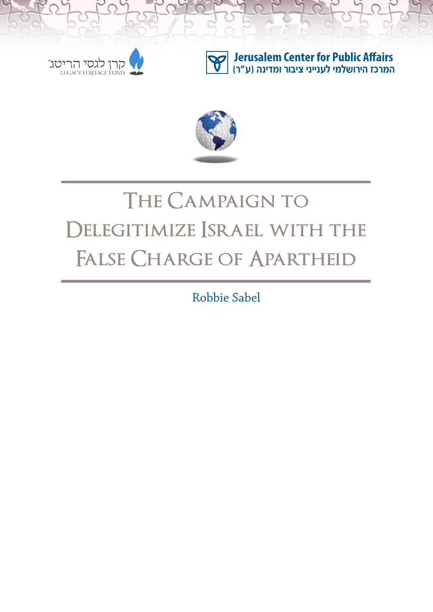

**Jerusalem Center for Public Affairs המרכז הירושלמי לענייני ציבור ומדינה )ע"ר(**



# **The Campaign to**  DELEGITIMIZE *SRAEL* WITH THE **False Charge of Apartheid**

Robbie Sabel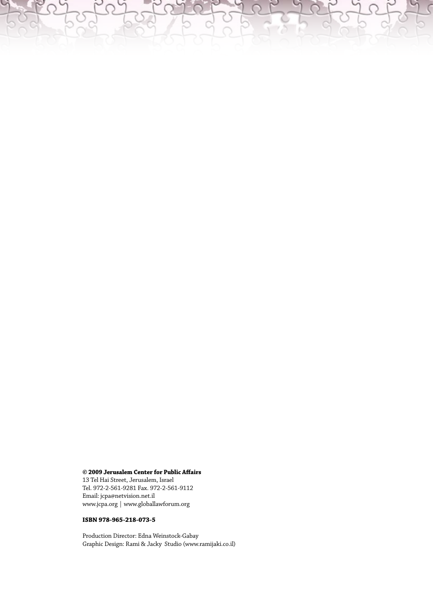#### **© 2009 Jerusalem Center for Public Affairs**

13 Tel Hai Street, Jerusalem, Israel Tel. 972-2-561-9281 Fax. 972-2-561-9112 Email: jcpa@netvision.net.il www.jcpa.org | www.globallawforum.org

#### **ISBN 978-965-218-073-5**

Production Director: Edna Weinstock-Gabay Graphic Design: Rami & Jacky Studio (www.ramijaki.co.il)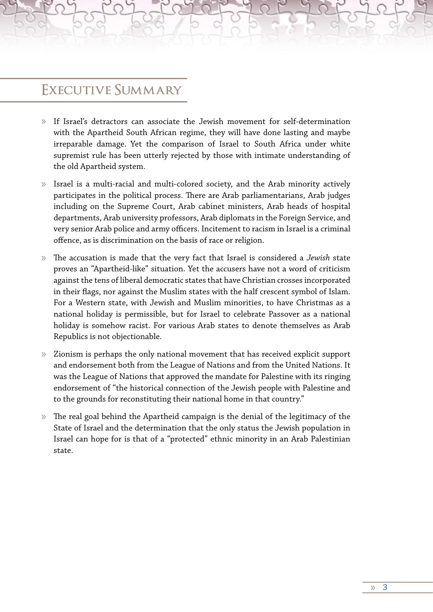#### **Executive Summary**

- » If Israel's detractors can associate the Jewish movement for self-determination with the Apartheid South African regime, they will have done lasting and maybe irreparable damage. Yet the comparison of Israel to South Africa under white supremist rule has been utterly rejected by those with intimate understanding of the old Apartheid system.
- » Israel is a multi-racial and multi-colored society, and the Arab minority actively participates in the political process. There are Arab parliamentarians, Arab judges including on the Supreme Court, Arab cabinet ministers, Arab heads of hospital departments, Arab university professors, Arab diplomats in the Foreign Service, and very senior Arab police and army officers. Incitement to racism in Israel is a criminal offence, as is discrimination on the basis of race or religion.
- » The accusation is made that the very fact that Israel is considered a *Jewish* state proves an "Apartheid-like" situation. Yet the accusers have not a word of criticism against the tens of liberal democratic states that have Christian crosses incorporated in their flags, nor against the Muslim states with the half crescent symbol of Islam. For a Western state, with Jewish and Muslim minorities, to have Christmas as a national holiday is permissible, but for Israel to celebrate Passover as a national holiday is somehow racist. For various Arab states to denote themselves as Arab Republics is not objectionable.
- » Zionism is perhaps the only national movement that has received explicit support and endorsement both from the League of Nations and from the United Nations. It was the League of Nations that approved the mandate for Palestine with its ringing endorsement of "the historical connection of the Jewish people with Palestine and to the grounds for reconstituting their national home in that country."
- » The real goal behind the Apartheid campaign is the denial of the legitimacy of the State of Israel and the determination that the only status the Jewish population in Israel can hope for is that of a "protected" ethnic minority in an Arab Palestinian state.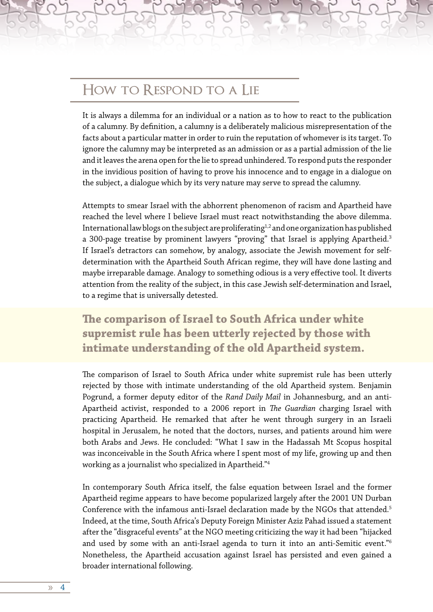#### **How to Respond to a Lie**

It is always a dilemma for an individual or a nation as to how to react to the publication of a calumny. By definition, a calumny is a deliberately malicious misrepresentation of the facts about a particular matter in order to ruin the reputation of whomever is its target. To ignore the calumny may be interpreted as an admission or as a partial admission of the lie and it leaves the arena open for the lie to spread unhindered. To respond puts the responder in the invidious position of having to prove his innocence and to engage in a dialogue on the subject, a dialogue which by its very nature may serve to spread the calumny.

Attempts to smear Israel with the abhorrent phenomenon of racism and Apartheid have reached the level where I believe Israel must react notwithstanding the above dilemma. International law blogs on the subject are proliferating<sup>1,2</sup> and one organization has published a 300-page treatise by prominent lawyers "proving" that Israel is applying Apartheid.<sup>3</sup> If Israel's detractors can somehow, by analogy, associate the Jewish movement for selfdetermination with the Apartheid South African regime, they will have done lasting and maybe irreparable damage. Analogy to something odious is a very effective tool. It diverts attention from the reality of the subject, in this case Jewish self-determination and Israel, to a regime that is universally detested.

**The comparison of Israel to South Africa under white supremist rule has been utterly rejected by those with intimate understanding of the old Apartheid system.** 

The comparison of Israel to South Africa under white supremist rule has been utterly rejected by those with intimate understanding of the old Apartheid system. Benjamin Pogrund, a former deputy editor of the *Rand Daily Mail* in Johannesburg, and an anti-Apartheid activist, responded to a 2006 report in *The Guardian* charging Israel with practicing Apartheid. He remarked that after he went through surgery in an Israeli hospital in Jerusalem, he noted that the doctors, nurses, and patients around him were both Arabs and Jews. He concluded: "What I saw in the Hadassah Mt Scopus hospital was inconceivable in the South Africa where I spent most of my life, growing up and then working as a journalist who specialized in Apartheid."4

In contemporary South Africa itself, the false equation between Israel and the former Apartheid regime appears to have become popularized largely after the 2001 UN Durban Conference with the infamous anti-Israel declaration made by the NGOs that attended.<sup>5</sup> Indeed, at the time, South Africa's Deputy Foreign Minister Aziz Pahad issued a statement after the "disgraceful events" at the NGO meeting criticizing the way it had been "hijacked and used by some with an anti-Israel agenda to turn it into an anti-Semitic event."6 Nonetheless, the Apartheid accusation against Israel has persisted and even gained a broader international following.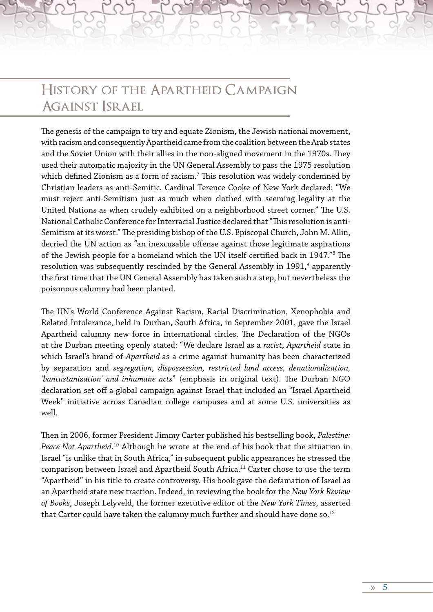### **History of the Apartheid Campaign Against Israel**

The genesis of the campaign to try and equate Zionism, the Jewish national movement, with racism and consequently Apartheid came from the coalition between the Arab states and the Soviet Union with their allies in the non-aligned movement in the 1970s. They used their automatic majority in the UN General Assembly to pass the 1975 resolution which defined Zionism as a form of racism. $^7$  This resolution was widely condemned by Christian leaders as anti-Semitic. Cardinal Terence Cooke of New York declared: "We must reject anti-Semitism just as much when clothed with seeming legality at the United Nations as when crudely exhibited on a neighborhood street corner." The U.S. National Catholic Conference for Interracial Justice declared that "This resolution is anti-Semitism at its worst." The presiding bishop of the U.S. Episcopal Church, John M. Allin, decried the UN action as "an inexcusable offense against those legitimate aspirations of the Jewish people for a homeland which the UN itself certified back in 1947."8 The resolution was subsequently rescinded by the General Assembly in 1991, $^{\mathrm{o}}$  apparently the first time that the UN General Assembly has taken such a step, but nevertheless the poisonous calumny had been planted.

The UN's World Conference Against Racism, Racial Discrimination, Xenophobia and Related Intolerance, held in Durban, South Africa, in September 2001, gave the Israel Apartheid calumny new force in international circles. The Declaration of the NGOs at the Durban meeting openly stated: "We declare Israel as a *racist*, *Apartheid* state in which Israel's brand of *Apartheid* as a crime against humanity has been characterized by separation and *segregation*, *dispossession, restricted land access, denationalization, 'bantustanization' and inhumane acts*" (emphasis in original text). The Durban NGO declaration set off a global campaign against Israel that included an "Israel Apartheid Week" initiative across Canadian college campuses and at some U.S. universities as well.

Then in 2006, former President Jimmy Carter published his bestselling book, *Palestine: Peace Not Apartheid*. 10 Although he wrote at the end of his book that the situation in Israel "is unlike that in South Africa," in subsequent public appearances he stressed the comparison between Israel and Apartheid South Africa.<sup>11</sup> Carter chose to use the term "Apartheid" in his title to create controversy. His book gave the defamation of Israel as an Apartheid state new traction. Indeed, in reviewing the book for the *New York Review of Books*, Joseph Lelyveld, the former executive editor of the *New York Times*, asserted that Carter could have taken the calumny much further and should have done so.<sup>12</sup>

» 5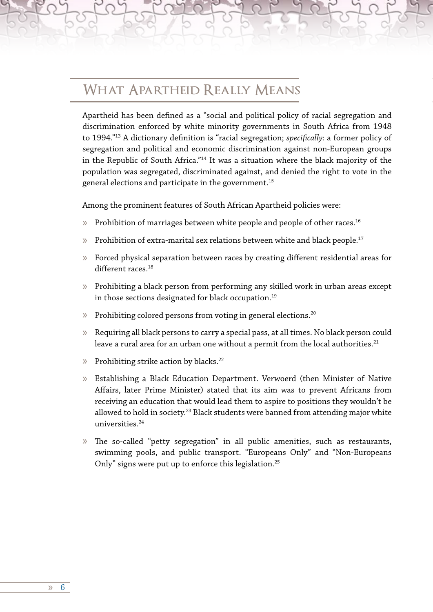### **What Apartheid Really Means**

Apartheid has been defined as a "social and political policy of racial segregation and discrimination enforced by white minority governments in South Africa from 1948 to 1994."13 A dictionary definition is "racial segregation; *specifically*: a former policy of segregation and political and economic discrimination against non-European groups in the Republic of South Africa."14 It was a situation where the black majority of the population was segregated, discriminated against, and denied the right to vote in the general elections and participate in the government.15

Among the prominent features of South African Apartheid policies were:

- » Prohibition of marriages between white people and people of other races.<sup>16</sup>
- » Prohibition of extra-marital sex relations between white and black people.<sup>17</sup>
- » Forced physical separation between races by creating different residential areas for different races.<sup>18</sup>
- » Prohibiting a black person from performing any skilled work in urban areas except in those sections designated for black occupation.<sup>19</sup>
- » Prohibiting colored persons from voting in general elections.20
- » Requiring all black persons to carry a special pass, at all times. No black person could leave a rural area for an urban one without a permit from the local authorities.<sup>21</sup>
- » Prohibiting strike action by blacks.22
- » Establishing a Black Education Department. Verwoerd (then Minister of Native Affairs, later Prime Minister) stated that its aim was to prevent Africans from receiving an education that would lead them to aspire to positions they wouldn't be allowed to hold in society.<sup>23</sup> Black students were banned from attending major white universities.<sup>24</sup>
- » The so-called "petty segregation" in all public amenities, such as restaurants, swimming pools, and public transport. "Europeans Only" and "Non-Europeans Only" signs were put up to enforce this legislation.<sup>25</sup>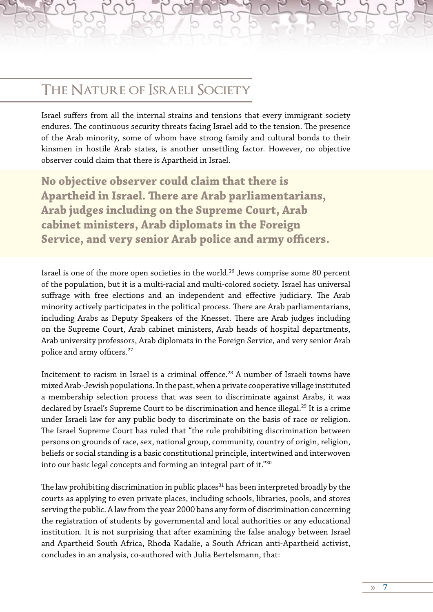#### **The Nature of Israeli Society**

Israel suffers from all the internal strains and tensions that every immigrant society endures. The continuous security threats facing Israel add to the tension. The presence of the Arab minority, some of whom have strong family and cultural bonds to their kinsmen in hostile Arab states, is another unsettling factor. However, no objective observer could claim that there is Apartheid in Israel.

**No objective observer could claim that there is Apartheid in Israel. There are Arab parliamentarians, Arab judges including on the Supreme Court, Arab cabinet ministers, Arab diplomats in the Foreign Service, and very senior Arab police and army officers.**

Israel is one of the more open societies in the world.<sup>26</sup> Jews comprise some 80 percent of the population, but it is a multi-racial and multi-colored society. Israel has universal suffrage with free elections and an independent and effective judiciary. The Arab minority actively participates in the political process. There are Arab parliamentarians, including Arabs as Deputy Speakers of the Knesset. There are Arab judges including on the Supreme Court, Arab cabinet ministers, Arab heads of hospital departments, Arab university professors, Arab diplomats in the Foreign Service, and very senior Arab police and army officers.27

Incitement to racism in Israel is a criminal offence.28 A number of Israeli towns have mixed Arab-Jewish populations. In the past, when a private cooperative village instituted a membership selection process that was seen to discriminate against Arabs, it was declared by Israel's Supreme Court to be discrimination and hence illegal.<sup>29</sup> It is a crime under Israeli law for any public body to discriminate on the basis of race or religion. The Israel Supreme Court has ruled that "the rule prohibiting discrimination between persons on grounds of race, sex, national group, community, country of origin, religion, beliefs or social standing is a basic constitutional principle, intertwined and interwoven into our basic legal concepts and forming an integral part of it."30

The law prohibiting discrimination in public places<sup>31</sup> has been interpreted broadly by the courts as applying to even private places, including schools, libraries, pools, and stores serving the public. A law from the year 2000 bans any form of discrimination concerning the registration of students by governmental and local authorities or any educational institution. It is not surprising that after examining the false analogy between Israel and Apartheid South Africa, Rhoda Kadalie, a South African anti-Apartheid activist, concludes in an analysis, co-authored with Julia Bertelsmann, that:

» 7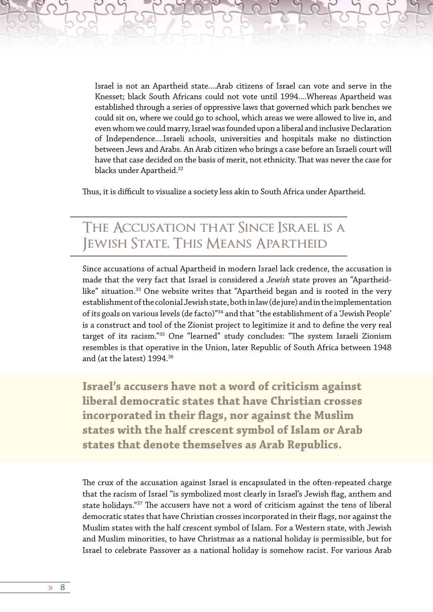Israel is not an Apartheid state....Arab citizens of Israel can vote and serve in the Knesset; black South Africans could not vote until 1994....Whereas Apartheid was established through a series of oppressive laws that governed which park benches we could sit on, where we could go to school, which areas we were allowed to live in, and even whom we could marry, Israel was founded upon a liberal and inclusive Declaration of Independence....Israeli schools, universities and hospitals make no distinction between Jews and Arabs. An Arab citizen who brings a case before an Israeli court will have that case decided on the basis of merit, not ethnicity. That was never the case for blacks under Apartheid.<sup>32</sup>

Thus, it is difficult to visualize a society less akin to South Africa under Apartheid.

### **The Accusation that Since Israel is a Jewish State, This Means Apartheid**

Since accusations of actual Apartheid in modern Israel lack credence, the accusation is made that the very fact that Israel is considered a *Jewish* state proves an "Apartheidlike" situation.<sup>33</sup> One website writes that "Apartheid began and is rooted in the very establishment of the colonial Jewish state, both in law (de jure) and in the implementation of its goals on various levels (de facto)"34 and that "the establishment of a 'Jewish People' is a construct and tool of the Zionist project to legitimize it and to define the very real target of its racism."35 One "learned" study concludes: "The system Israeli Zionism resembles is that operative in the Union, later Republic of South Africa between 1948 and (at the latest) 1994.36

**Israel's accusers have not a word of criticism against liberal democratic states that have Christian crosses incorporated in their flags, nor against the Muslim states with the half crescent symbol of Islam or Arab states that denote themselves as Arab Republics.** 

The crux of the accusation against Israel is encapsulated in the often-repeated charge that the racism of Israel "is symbolized most clearly in Israel's Jewish flag, anthem and state holidays."<sup>37</sup> The accusers have not a word of criticism against the tens of liberal democratic states that have Christian crosses incorporated in their flags, nor against the Muslim states with the half crescent symbol of Islam. For a Western state, with Jewish and Muslim minorities, to have Christmas as a national holiday is permissible, but for Israel to celebrate Passover as a national holiday is somehow racist. For various Arab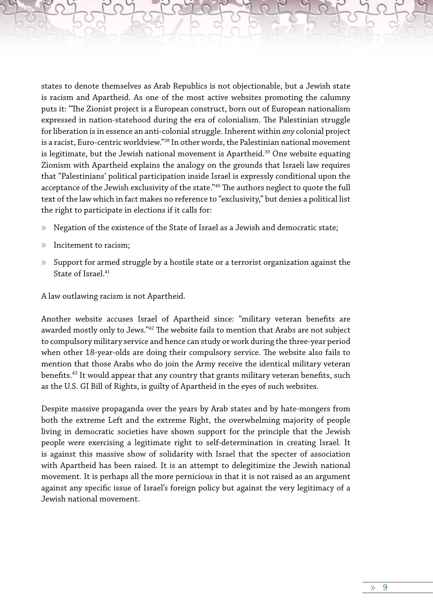states to denote themselves as Arab Republics is not objectionable, but a Jewish state is racism and Apartheid. As one of the most active websites promoting the calumny puts it: "The Zionist project is a European construct, born out of European nationalism expressed in nation-statehood during the era of colonialism. The Palestinian struggle for liberation is in essence an anti-colonial struggle. Inherent within *any* colonial project is a racist, Euro-centric worldview."38 In other words, the Palestinian national movement is legitimate, but the Jewish national movement is Apartheid.<sup>39</sup> One website equating Zionism with Apartheid explains the analogy on the grounds that Israeli law requires that "Palestinians' political participation inside Israel is expressly conditional upon the acceptance of the Jewish exclusivity of the state."40 The authors neglect to quote the full text of the law which in fact makes no reference to "exclusivity," but denies a political list the right to participate in elections if it calls for:

- » Negation of the existence of the State of Israel as a Jewish and democratic state;
- » Incitement to racism;
- » Support for armed struggle by a hostile state or a terrorist organization against the State of Israel.<sup>41</sup>

A law outlawing racism is not Apartheid.

Another website accuses Israel of Apartheid since: "military veteran benefits are awarded mostly only to Jews."<sup>42</sup> The website fails to mention that Arabs are not subject to compulsory military service and hence can study or work during the three-year period when other 18-year-olds are doing their compulsory service. The website also fails to mention that those Arabs who do join the Army receive the identical military veteran benefits.<sup>43</sup> It would appear that any country that grants military veteran benefits, such as the U.S. GI Bill of Rights, is guilty of Apartheid in the eyes of such websites.

Despite massive propaganda over the years by Arab states and by hate-mongers from both the extreme Left and the extreme Right, the overwhelming majority of people living in democratic societies have shown support for the principle that the Jewish people were exercising a legitimate right to self-determination in creating Israel. It is against this massive show of solidarity with Israel that the specter of association with Apartheid has been raised. It is an attempt to delegitimize the Jewish national movement. It is perhaps all the more pernicious in that it is not raised as an argument against any specific issue of Israel's foreign policy but against the very legitimacy of a Jewish national movement.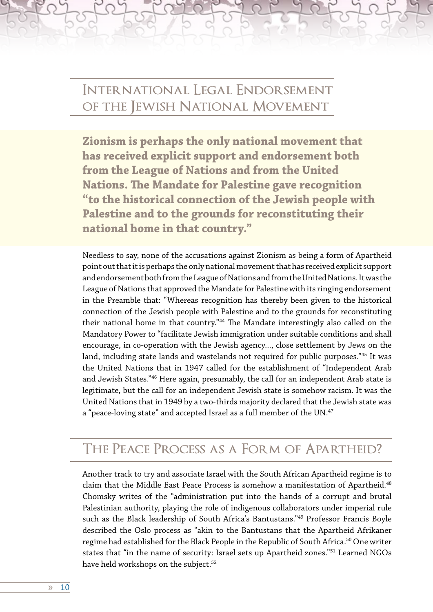### **International Legal Endorsement of the Jewish National Movement**

**Zionism is perhaps the only national movement that has received explicit support and endorsement both from the League of Nations and from the United Nations. The Mandate for Palestine gave recognition "to the historical connection of the Jewish people with Palestine and to the grounds for reconstituting their national home in that country."**

Needless to say, none of the accusations against Zionism as being a form of Apartheid point out that it is perhaps the only national movement that has received explicit support and endorsement both from the League of Nations and from the United Nations. It was the League of Nations that approved the Mandate for Palestine with its ringing endorsement in the Preamble that: "Whereas recognition has thereby been given to the historical connection of the Jewish people with Palestine and to the grounds for reconstituting their national home in that country."44 The Mandate interestingly also called on the Mandatory Power to "facilitate Jewish immigration under suitable conditions and shall encourage, in co-operation with the Jewish agency..., close settlement by Jews on the land, including state lands and wastelands not required for public purposes."45 It was the United Nations that in 1947 called for the establishment of "Independent Arab and Jewish States."46 Here again, presumably, the call for an independent Arab state is legitimate, but the call for an independent Jewish state is somehow racism. It was the United Nations that in 1949 by a two-thirds majority declared that the Jewish state was a "peace-loving state" and accepted Israel as a full member of the UN.<sup>47</sup>

#### **The Peace Process as a Form of Apartheid?**

Another track to try and associate Israel with the South African Apartheid regime is to claim that the Middle East Peace Process is somehow a manifestation of Apartheid.<sup>48</sup> Chomsky writes of the "administration put into the hands of a corrupt and brutal Palestinian authority, playing the role of indigenous collaborators under imperial rule such as the Black leadership of South Africa's Bantustans."49 Professor Francis Boyle described the Oslo process as "akin to the Bantustans that the Apartheid Afrikaner regime had established for the Black People in the Republic of South Africa.<sup>50</sup> One writer states that "in the name of security: Israel sets up Apartheid zones."51 Learned NGOs have held workshops on the subject.<sup>52</sup>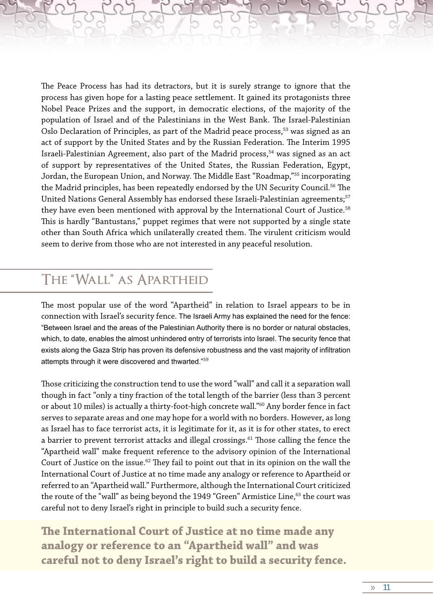The Peace Process has had its detractors, but it is surely strange to ignore that the process has given hope for a lasting peace settlement. It gained its protagonists three Nobel Peace Prizes and the support, in democratic elections, of the majority of the population of Israel and of the Palestinians in the West Bank. The Israel-Palestinian Oslo Declaration of Principles, as part of the Madrid peace process,<sup>53</sup> was signed as an act of support by the United States and by the Russian Federation. The Interim 1995 Israeli-Palestinian Agreement, also part of the Madrid process,<sup>54</sup> was signed as an act of support by representatives of the United States, the Russian Federation, Egypt, Jordan, the European Union, and Norway. The Middle East "Roadmap,"55 incorporating the Madrid principles, has been repeatedly endorsed by the UN Security Council.<sup>56</sup> The United Nations General Assembly has endorsed these Israeli-Palestinian agreements;<sup>57</sup> they have even been mentioned with approval by the International Court of Justice.<sup>58</sup> This is hardly "Bantustans," puppet regimes that were not supported by a single state other than South Africa which unilaterally created them. The virulent criticism would seem to derive from those who are not interested in any peaceful resolution.

### **The "Wall" as Apartheid**

The most popular use of the word "Apartheid" in relation to Israel appears to be in connection with Israel's security fence. The Israeli Army has explained the need for the fence: "Between Israel and the areas of the Palestinian Authority there is no border or natural obstacles, which, to date, enables the almost unhindered entry of terrorists into Israel. The security fence that exists along the Gaza Strip has proven its defensive robustness and the vast majority of infiltration attempts through it were discovered and thwarted."<sup>59</sup>

Those criticizing the construction tend to use the word "wall" and call it a separation wall though in fact "only a tiny fraction of the total length of the barrier (less than 3 percent or about 10 miles) is actually a thirty-foot-high concrete wall."60 Any border fence in fact serves to separate areas and one may hope for a world with no borders. However, as long as Israel has to face terrorist acts, it is legitimate for it, as it is for other states, to erect a barrier to prevent terrorist attacks and illegal crossings.<sup>61</sup> Those calling the fence the "Apartheid wall" make frequent reference to the advisory opinion of the International Court of Justice on the issue. $62$  They fail to point out that in its opinion on the wall the International Court of Justice at no time made any analogy or reference to Apartheid or referred to an "Apartheid wall." Furthermore, although the International Court criticized the route of the "wall" as being beyond the 1949 "Green" Armistice Line,<sup>63</sup> the court was careful not to deny Israel's right in principle to build such a security fence.

**The International Court of Justice at no time made any analogy or reference to an "Apartheid wall" and was careful not to deny Israel's right to build a security fence.**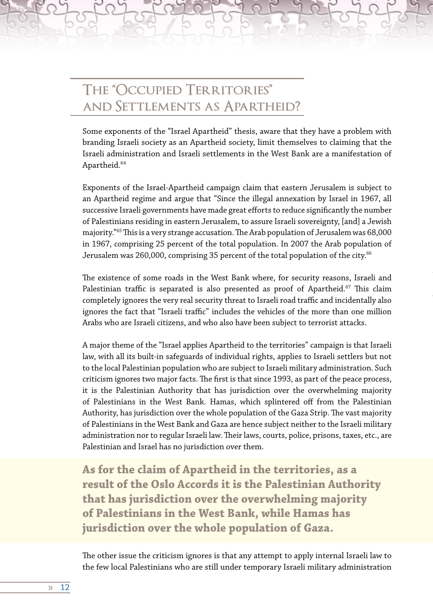## **The "Occupied Territories" and Settlements as Apartheid?**

Some exponents of the "Israel Apartheid" thesis, aware that they have a problem with branding Israeli society as an Apartheid society, limit themselves to claiming that the Israeli administration and Israeli settlements in the West Bank are a manifestation of Apartheid.<sup>64</sup>

Exponents of the Israel-Apartheid campaign claim that eastern Jerusalem is subject to an Apartheid regime and argue that "Since the illegal annexation by Israel in 1967, all successive Israeli governments have made great efforts to reduce significantly the number of Palestinians residing in eastern Jerusalem, to assure Israeli sovereignty, [and] a Jewish majority."65 This is a very strange accusation. The Arab population of Jerusalem was 68,000 in 1967, comprising 25 percent of the total population. In 2007 the Arab population of Jerusalem was 260,000, comprising 35 percent of the total population of the city. $66$ 

The existence of some roads in the West Bank where, for security reasons, Israeli and Palestinian traffic is separated is also presented as proof of Apartheid.<sup>67</sup> This claim completely ignores the very real security threat to Israeli road traffic and incidentally also ignores the fact that "Israeli traffic" includes the vehicles of the more than one million Arabs who are Israeli citizens, and who also have been subject to terrorist attacks.

A major theme of the "Israel applies Apartheid to the territories" campaign is that Israeli law, with all its built-in safeguards of individual rights, applies to Israeli settlers but not to the local Palestinian population who are subject to Israeli military administration. Such criticism ignores two major facts. The first is that since 1993, as part of the peace process, it is the Palestinian Authority that has jurisdiction over the overwhelming majority of Palestinians in the West Bank. Hamas, which splintered off from the Palestinian Authority, has jurisdiction over the whole population of the Gaza Strip. The vast majority of Palestinians in the West Bank and Gaza are hence subject neither to the Israeli military administration nor to regular Israeli law. Their laws, courts, police, prisons, taxes, etc., are Palestinian and Israel has no jurisdiction over them.

**As for the claim of Apartheid in the territories, as a result of the Oslo Accords it is the Palestinian Authority that has jurisdiction over the overwhelming majority of Palestinians in the West Bank, while Hamas has jurisdiction over the whole population of Gaza.**

The other issue the criticism ignores is that any attempt to apply internal Israeli law to the few local Palestinians who are still under temporary Israeli military administration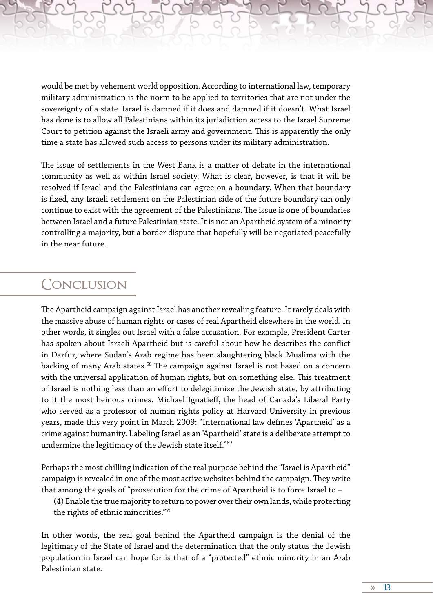would be met by vehement world opposition. According to international law, temporary military administration is the norm to be applied to territories that are not under the sovereignty of a state. Israel is damned if it does and damned if it doesn't. What Israel has done is to allow all Palestinians within its jurisdiction access to the Israel Supreme Court to petition against the Israeli army and government. This is apparently the only time a state has allowed such access to persons under its military administration.

The issue of settlements in the West Bank is a matter of debate in the international community as well as within Israel society. What is clear, however, is that it will be resolved if Israel and the Palestinians can agree on a boundary. When that boundary is fixed, any Israeli settlement on the Palestinian side of the future boundary can only continue to exist with the agreement of the Palestinians. The issue is one of boundaries between Israel and a future Palestinian state. It is not an Apartheid system of a minority controlling a majority, but a border dispute that hopefully will be negotiated peacefully in the near future.

#### **Conclusion**

The Apartheid campaign against Israel has another revealing feature. It rarely deals with the massive abuse of human rights or cases of real Apartheid elsewhere in the world. In other words, it singles out Israel with a false accusation. For example, President Carter has spoken about Israeli Apartheid but is careful about how he describes the conflict in Darfur, where Sudan's Arab regime has been slaughtering black Muslims with the backing of many Arab states.<sup>68</sup> The campaign against Israel is not based on a concern with the universal application of human rights, but on something else. This treatment of Israel is nothing less than an effort to delegitimize the Jewish state, by attributing to it the most heinous crimes. Michael Ignatieff, the head of Canada's Liberal Party who served as a professor of human rights policy at Harvard University in previous years, made this very point in March 2009: "International law defines 'Apartheid' as a crime against humanity. Labeling Israel as an 'Apartheid' state is a deliberate attempt to undermine the legitimacy of the Jewish state itself."69

Perhaps the most chilling indication of the real purpose behind the "Israel is Apartheid" campaign is revealed in one of the most active websites behind the campaign. They write that among the goals of "prosecution for the crime of Apartheid is to force Israel to –

(4) Enable the true majority to return to power over their own lands, while protecting the rights of ethnic minorities."70

In other words, the real goal behind the Apartheid campaign is the denial of the legitimacy of the State of Israel and the determination that the only status the Jewish population in Israel can hope for is that of a "protected" ethnic minority in an Arab Palestinian state.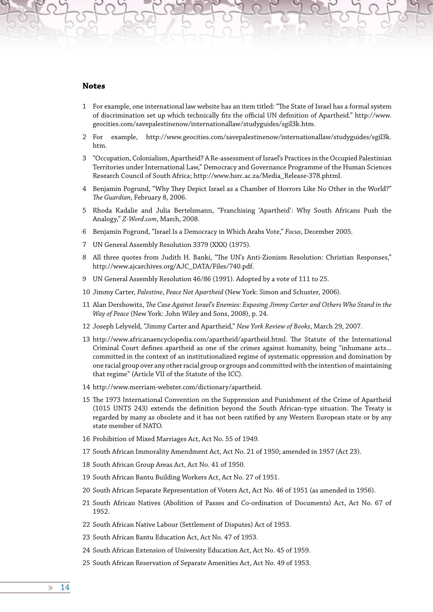#### **Notes**

- 1 For example, one international law website has an item titled: "The State of Israel has a formal system of discrimination set up which technically fits the official UN definition of Apartheid." http://www. geocities.com/savepalestinenow/internationallaw/studyguides/sgil3k.htm.
- 2 For example, http://www.geocities.com/savepalestinenow/internationallaw/studyguides/sgil3k. htm.
- 3 "Occupation, Colonialism, Apartheid? A Re-assessment of Israel's Practices in the Occupied Palestinian Territories under International Law," Democracy and Governance Programme of the Human Sciences Research Council of South Africa; http://www.hsrc.ac.za/Media\_Release-378.phtml.
- 4 Benjamin Pogrund, "Why They Depict Israel as a Chamber of Horrors Like No Other in the World?" *The Guardian*, February 8, 2006.
- 5 Rhoda Kadalie and Julia Bertelsmann, "Franchising 'Apartheid': Why South Africans Push the Analogy," *Z-Word.com*, March, 2008.
- 6 Benjamin Pogrund, "Israel Is a Democracy in Which Arabs Vote," *Focus*, December 2005.
- 7 UN General Assembly Resolution 3379 (XXX) (1975).
- 8 All three quotes from Judith H. Banki, "The UN's Anti-Zionism Resolution: Christian Responses," http://www.ajcarchives.org/AJC\_DATA/Files/740.pdf.
- 9 UN General Assembly Resolution 46/86 (1991). Adopted by a vote of 111 to 25.
- 10 Jimmy Carter, *Palestine*, *Peace Not Apartheid* (New York: Simon and Schuster, 2006).
- 11 Alan Dershowitz, *The Case Against Israel's Enemies: Exposing Jimmy Carter and Others Who Stand in the Way of Peace* (New York: John Wiley and Sons, 2008), p. 24.
- 12 Joseph Lelyveld, "Jimmy Carter and Apartheid," *New York Review of Books*, March 29, 2007.
- 13 http://www.africanaencyclopedia.com/apartheid/apartheid.html. The Statute of the International Criminal Court defines apartheid as one of the crimes against humanity, being "inhumane acts... committed in the context of an institutionalized regime of systematic oppression and domination by one racial group over any other racial group or groups and committed with the intention of maintaining that regime" (Article VII of the Statute of the ICC).
- 14 http://www.merriam-webster.com/dictionary/apartheid.
- 15 The 1973 International Convention on the Suppression and Punishment of the Crime of Apartheid (1015 UNTS 243) extends the definition beyond the South African-type situation. The Treaty is regarded by many as obsolete and it has not been ratified by any Western European state or by any state member of NATO.
- 16 Prohibition of Mixed Marriages Act, Act No. 55 of 1949.
- 17 South African Immorality Amendment Act, Act No. 21 of 1950; amended in 1957 (Act 23).
- 18 South African Group Areas Act, Act No. 41 of 1950.
- 19 South African Bantu Building Workers Act, Act No. 27 of 1951.
- 20 South African Separate Representation of Voters Act, Act No. 46 of 1951 (as amended in 1956).
- 21 South African Natives (Abolition of Passes and Co-ordination of Documents) Act, Act No. 67 of 1952.
- 22 South African Native Labour (Settlement of Disputes) Act of 1953.
- 23 South African Bantu Education Act, Act No. 47 of 1953.
- 24 South African Extension of University Education Act, Act No. 45 of 1959.
- 25 South African Reservation of Separate Amenities Act, Act No. 49 of 1953.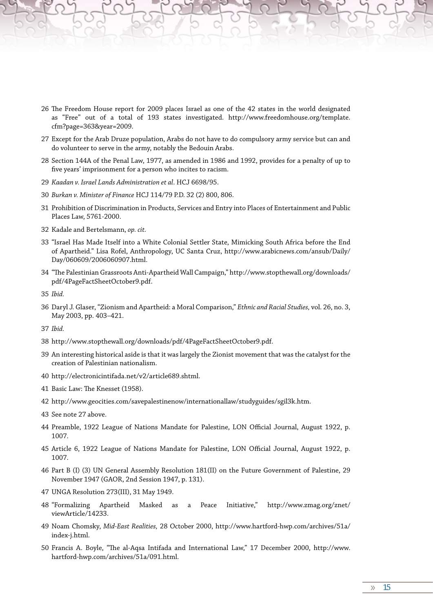- 26 The Freedom House report for 2009 places Israel as one of the 42 states in the world designated as "Free" out of a total of 193 states investigated. http://www.freedomhouse.org/template. cfm?page=363&year=2009.
- 27 Except for the Arab Druze population, Arabs do not have to do compulsory army service but can and do volunteer to serve in the army, notably the Bedouin Arabs.
- 28 Section 144A of the Penal Law, 1977, as amended in 1986 and 1992, provides for a penalty of up to five years' imprisonment for a person who incites to racism.
- 29 *Kaadan v. Israel Lands Administration et al*. HCJ 6698/95.
- 30 *Burkan v. Minister of Finance* HCJ 114/79 P.D. 32 (2) 800, 806.
- 31 Prohibition of Discrimination in Products, Services and Entry into Places of Entertainment and Public Places Law, 5761-2000.
- 32 Kadale and Bertelsmann, *op. cit.*
- 33 "Israel Has Made Itself into a White Colonial Settler State, Mimicking South Africa before the End of Apartheid." Lisa Rofel, Anthropology, UC Santa Cruz, http://www.arabicnews.com/ansub/Daily/ Day/060609/2006060907.html.
- 34 "The Palestinian Grassroots Anti-Apartheid Wall Campaign," http://www.stopthewall.org/downloads/ pdf/4PageFactSheetOctober9.pdf.
- 35 *Ibid.*
- 36 Daryl J. Glaser, "Zionism and Apartheid: a Moral Comparison," *Ethnic and Racial Studies,* vol. 26, no. 3, May 2003, pp. 403–421.
- 37 *Ibid.*
- 38 http://www.stopthewall.org/downloads/pdf/4PageFactSheetOctober9.pdf.
- 39 An interesting historical aside is that it was largely the Zionist movement that was the catalyst for the creation of Palestinian nationalism.
- 40 http://electronicintifada.net/v2/article689.shtml.
- 41 Basic Law: The Knesset (1958).
- 42 http://www.geocities.com/savepalestinenow/internationallaw/studyguides/sgil3k.htm.
- 43 See note 27 above.
- 44 Preamble, 1922 League of Nations Mandate for Palestine, LON Official Journal, August 1922, p. 1007.
- 45 Article 6, 1922 League of Nations Mandate for Palestine, LON Official Journal, August 1922, p. 1007.
- 46 Part B (I) (3) UN General Assembly Resolution 181(II) on the Future Government of Palestine, 29 November 1947 (GAOR, 2nd Session 1947, p. 131).
- 47 UNGA Resolution 273(III), 31 May 1949.
- 48 "Formalizing Apartheid Masked as a Peace Initiative," http://www.zmag.org/znet/ viewArticle/14233.
- 49 Noam Chomsky, *Mid-East Realities,* 28 October 2000, http://www.hartford-hwp.com/archives/51a/ index-j.html.
- 50 Francis A. Boyle, "The al-Aqsa Intifada and International Law," 17 December 2000, http://www. hartford-hwp.com/archives/51a/091.html.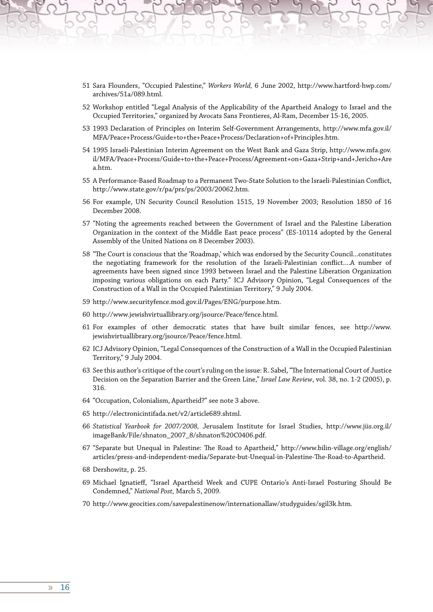- 51 Sara Flounders, "Occupied Palestine," *Workers World,* 6 June 2002, http://www.hartford-hwp.com/ archives/51a/089.html.
- 52 Workshop entitled "Legal Analysis of the Applicability of the Apartheid Analogy to Israel and the Occupied Territories," organized by Avocats Sans Frontieres, Al-Ram, December 15-16, 2005.
- 53 1993 Declaration of Principles on Interim Self-Government Arrangements, http://www.mfa.gov.il/ MFA/Peace+Process/Guide+to+the+Peace+Process/Declaration+of+Principles.htm.
- 54 1995 Israeli-Palestinian Interim Agreement on the West Bank and Gaza Strip, http://www.mfa.gov. il/MFA/Peace+Process/Guide+to+the+Peace+Process/Agreement+on+Gaza+Strip+and+Jericho+Are a.htm.
- 55 A Performance-Based Roadmap to a Permanent Two-State Solution to the Israeli-Palestinian Conflict, http://www.state.gov/r/pa/prs/ps/2003/20062.htm.
- 56 For example, UN Security Council Resolution 1515, 19 November 2003; Resolution 1850 of 16 December 2008.
- 57 "Noting the agreements reached between the Government of Israel and the Palestine Liberation Organization in the context of the Middle East peace process" (ES-10114 adopted by the General Assembly of the United Nations on 8 December 2003).
- 58 "The Court is conscious that the 'Roadmap,' which was endorsed by the Security Council...constitutes the negotiating framework for the resolution of the Israeli-Palestinian conflict....A number of agreements have been signed since 1993 between Israel and the Palestine Liberation Organization imposing various obligations on each Party." ICJ Advisory Opinion, "Legal Consequences of the Construction of a Wall in the Occupied Palestinian Territory," 9 July 2004.
- 59 http://www.securityfence.mod.gov.il/Pages/ENG/purpose.htm.
- 60 http://www.jewishvirtuallibrary.org/jsource/Peace/fence.html.
- 61 For examples of other democratic states that have built similar fences, see http://www. jewishvirtuallibrary.org/jsource/Peace/fence.html.
- 62 ICJ Advisory Opinion, "Legal Consequences of the Construction of a Wall in the Occupied Palestinian Territory," 9 July 2004.
- 63 See this author's critique of the court's ruling on the issue: R. Sabel, "The International Court of Justice Decision on the Separation Barrier and the Green Line," *Israel Law Review*, vol. 38, no. 1-2 (2005), p. 316.
- 64 "Occupation, Colonialism, Apartheid?" see note 3 above.
- 65 http://electronicintifada.net/v2/article689.shtml.
- 66 *Statistical Yearbook for 2007/2008,* Jerusalem Institute for Israel Studies, http://www.jiis.org.il/ imageBank/File/shnaton\_2007\_8/shnaton%20C0406.pdf.
- 67 "Separate but Unequal in Palestine: The Road to Apartheid," http://www.bilin-village.org/english/ articles/press-and-independent-media/Separate-but-Unequal-in-Palestine-The-Road-to-Apartheid.
- 68 Dershowitz, p. 25.
- 69 Michael Ignatieff, "Israel Apartheid Week and CUPE Ontario's Anti-Israel Posturing Should Be Condemned," *National Post,* March 5, 2009.
- 70 http://www.geocities.com/savepalestinenow/internationallaw/studyguides/sgil3k.htm.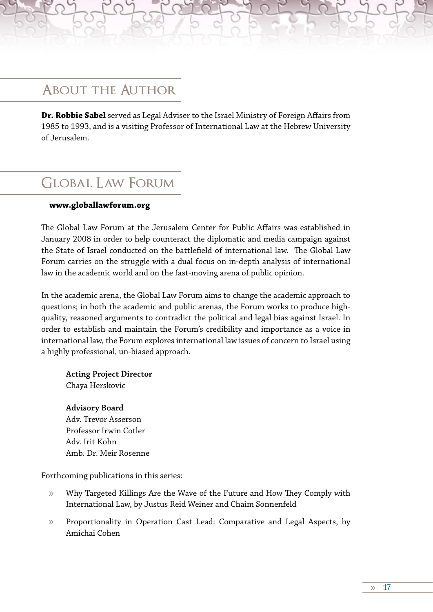### **About the Author**

**Dr. Robbie Sabel** served as Legal Adviser to the Israel Ministry of Foreign Affairs from 1985 to 1993, and is a visiting Professor of International Law at the Hebrew University of Jerusalem.

### **Global Law Forum**

#### **www.globallawforum.org**

The Global Law Forum at the Jerusalem Center for Public Affairs was established in January 2008 in order to help counteract the diplomatic and media campaign against the State of Israel conducted on the battlefield of international law. The Global Law Forum carries on the struggle with a dual focus on in-depth analysis of international law in the academic world and on the fast-moving arena of public opinion.

In the academic arena, the Global Law Forum aims to change the academic approach to questions; in both the academic and public arenas, the Forum works to produce highquality, reasoned arguments to contradict the political and legal bias against Israel. In order to establish and maintain the Forum's credibility and importance as a voice in international law, the Forum explores international law issues of concern to Israel using a highly professional, un-biased approach.

**Acting Project Director** Chaya Herskovic

**Advisory Board** Adv. Trevor Asserson Professor Irwin Cotler Adv. Irit Kohn Amb. Dr. Meir Rosenne

Forthcoming publications in this series:

- » Why Targeted Killings Are the Wave of the Future and How They Comply with International Law, by Justus Reid Weiner and Chaim Sonnenfeld
- » Proportionality in Operation Cast Lead: Comparative and Legal Aspects, by Amichai Cohen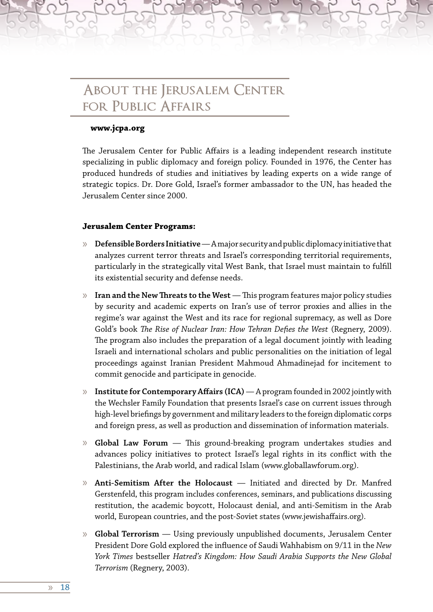### **About the Jerusalem Center for Public Affairs**

#### **www.jcpa.org**

The Jerusalem Center for Public Affairs is a leading independent research institute specializing in public diplomacy and foreign policy. Founded in 1976, the Center has produced hundreds of studies and initiatives by leading experts on a wide range of strategic topics. Dr. Dore Gold, Israel's former ambassador to the UN, has headed the Jerusalem Center since 2000.

#### **Jerusalem Center Programs:**

- » **Defensible Borders Initiative** A major security and public diplomacy initiative that analyzes current terror threats and Israel's corresponding territorial requirements, particularly in the strategically vital West Bank, that Israel must maintain to fulfill its existential security and defense needs.
- » **Iran and the New Threats to the West** This program features major policy studies by security and academic experts on Iran's use of terror proxies and allies in the regime's war against the West and its race for regional supremacy, as well as Dore Gold's book *The Rise of Nuclear Iran: How Tehran Defies the West* (Regnery, 2009). The program also includes the preparation of a legal document jointly with leading Israeli and international scholars and public personalities on the initiation of legal proceedings against Iranian President Mahmoud Ahmadinejad for incitement to commit genocide and participate in genocide.
- » **Institute for Contemporary Affairs (ICA)** A program founded in 2002 jointly with the Wechsler Family Foundation that presents Israel's case on current issues through high-level briefings by government and military leaders to the foreign diplomatic corps and foreign press, as well as production and dissemination of information materials.
- » **Global Law Forum** This ground-breaking program undertakes studies and advances policy initiatives to protect Israel's legal rights in its conflict with the Palestinians, the Arab world, and radical Islam (www.globallawforum.org).
- » **Anti-Semitism After the Holocaust** Initiated and directed by Dr. Manfred Gerstenfeld, this program includes conferences, seminars, and publications discussing restitution, the academic boycott, Holocaust denial, and anti-Semitism in the Arab world, European countries, and the post-Soviet states (www.jewishaffairs.org).
- » **Global Terrorism** Using previously unpublished documents, Jerusalem Center President Dore Gold explored the influence of Saudi Wahhabism on 9/11 in the *New York Times* bestseller *Hatred's Kingdom: How Saudi Arabia Supports the New Global Terrorism* (Regnery, 2003).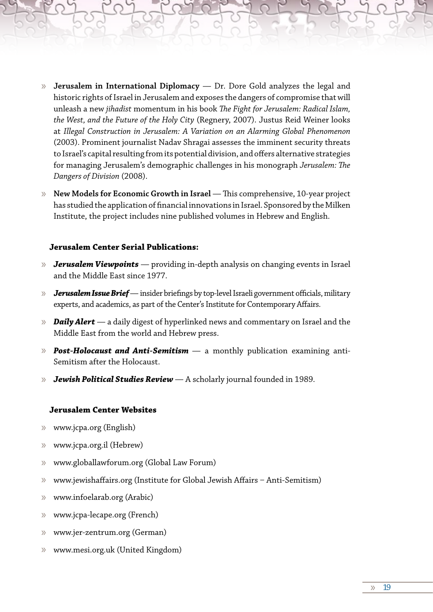- » **Jerusalem in International Diplomacy** Dr. Dore Gold analyzes the legal and historic rights of Israel in Jerusalem and exposes the dangers of compromise that will unleash a new *jihadist* momentum in his book *The Fight for Jerusalem: Radical Islam, the West, and the Future of the Holy City* (Regnery, 2007). Justus Reid Weiner looks at *Illegal Construction in Jerusalem: A Variation on an Alarming Global Phenomenon*  (2003). Prominent journalist Nadav Shragai assesses the imminent security threats to Israel's capital resulting from its potential division, and offers alternative strategies for managing Jerusalem's demographic challenges in his monograph *Jerusalem: The Dangers of Division* (2008).
- » **New Models for Economic Growth in Israel** This comprehensive, 10-year project has studied the application of financial innovations in Israel. Sponsored by the Milken Institute, the project includes nine published volumes in Hebrew and English.

#### **Jerusalem Center Serial Publications:**

- » *Jerusalem Viewpoints* providing in-depth analysis on changing events in Israel and the Middle East since 1977.
- » *Jerusalem Issue Brief*  insider briefings by top-level Israeli government officials, military experts, and academics, as part of the Center's Institute for Contemporary Affairs.
- » *Daily Alert* a daily digest of hyperlinked news and commentary on Israel and the Middle East from the world and Hebrew press.
- » *Post-Holocaust and Anti-Semitism*  a monthly publication examining anti-Semitism after the Holocaust.
- » *Jewish Political Studies Review* A scholarly journal founded in 1989.

#### **Jerusalem Center Websites**

- » www.jcpa.org (English)
- » www.jcpa.org.il (Hebrew)
- » www.globallawforum.org (Global Law Forum)
- » www.jewishaffairs.org (Institute for Global Jewish Affairs Anti-Semitism)
- » www.infoelarab.org (Arabic)
- » www.jcpa-lecape.org (French)
- » www.jer-zentrum.org (German)
- » www.mesi.org.uk (United Kingdom)